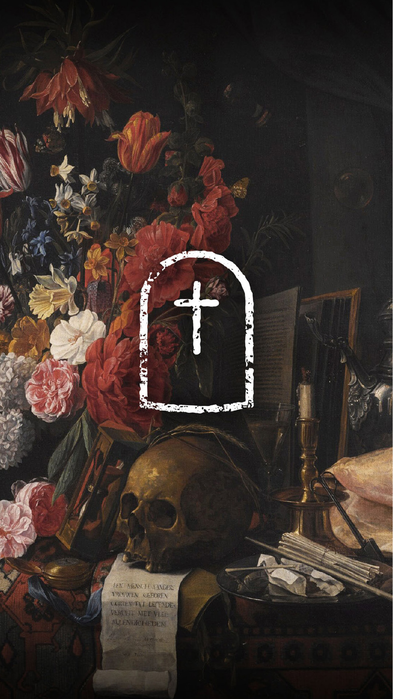

EEN MENCH ANDER VROVWEN GEBOREN **CORTENTLE LETENDES** VERVIT NIET VIER NJENDICHEDEN

All and as makes

**The Man Times of Case**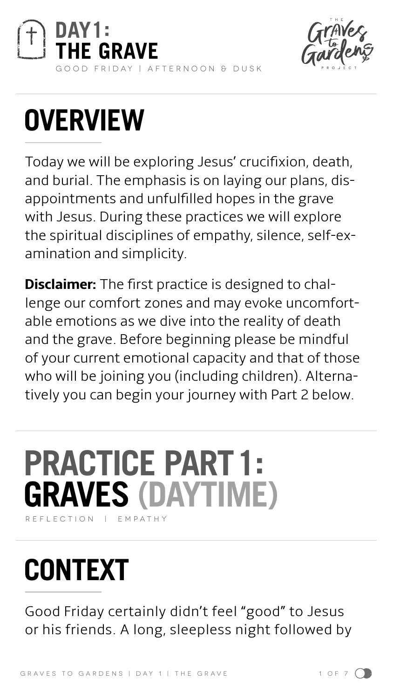#### GO OD FRIDAY | AF TERNO ON & DUSK **DAY1: THE GRAVE**



# **OVERVIEW**

Today we will be exploring Jesus' crucifixion, death, and burial. The emphasis is on laying our plans, disappointments and unfulflled hopes in the grave with Jesus. During these practices we will explore the spiritual disciplines of empathy, silence, self-examination and simplicity.

**Disclaimer:** The first practice is designed to challenge our comfort zones and may evoke uncomfortable emotions as we dive into the reality of death and the grave. Before beginning please be mindful of your current emotional capacity and that of those who will be joining you (including children). Alternatively you can begin your journey with Part 2 below.

REFLECTION | EMPATHY

# **PRACTICE PART1: GRAVES (DAYTIME)**

### **CONTEXT**

Good Friday certainly didn't feel "good" to Jesus or his friends. A long, sleepless night followed by

GRAVES TO GARDENS | DAY 1 | THE GRAVE 1 OF 7

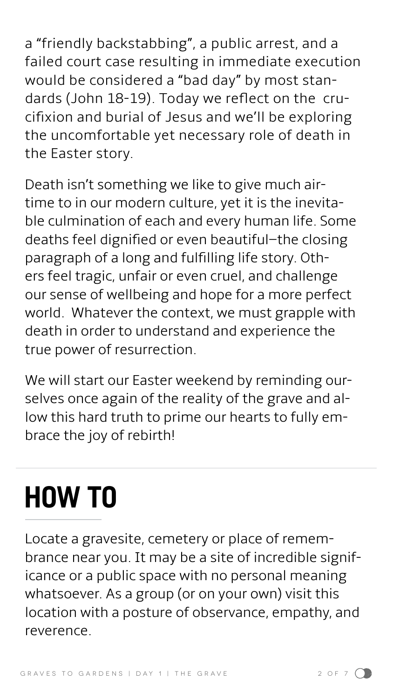## **HOW TO**

Locate a gravesite, cemetery or place of remembrance near you. It may be a site of incredible significance or a public space with no personal meaning whatsoever. As a group (or on your own) visit this location with a posture of observance, empathy, and reverence.



a "friendly backstabbing", a public arrest, and a failed court case resulting in immediate execution would be considered a "bad day" by most standards (John 18-19). Today we refect on the crucifxion and burial of Jesus and we'll be exploring the uncomfortable yet necessary role of death in the Easter story.

We will start our Easter weekend by reminding ourselves once again of the reality of the grave and allow this hard truth to prime our hearts to fully embrace the joy of rebirth!

Death isn't something we like to give much airtime to in our modern culture, yet it is the inevitable culmination of each and every human life. Some deaths feel dignifed or even beautiful–the closing paragraph of a long and fulflling life story. Others feel tragic, unfair or even cruel, and challenge our sense of wellbeing and hope for a more perfect world. Whatever the context, we must grapple with death in order to understand and experience the true power of resurrection.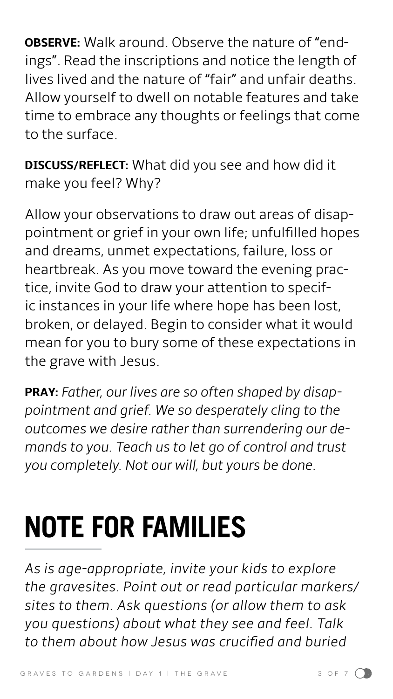**OBSERVE:** Walk around. Observe the nature of "endings". Read the inscriptions and notice the length of lives lived and the nature of "fair" and unfair deaths. Allow yourself to dwell on notable features and take time to embrace any thoughts or feelings that come to the surface.

**DISCUSS/REFLECT:** What did you see and how did it make you feel? Why?

Allow your observations to draw out areas of disappointment or grief in your own life; unfulflled hopes and dreams, unmet expectations, failure, loss or heartbreak. As you move toward the evening practice, invite God to draw your attention to specific instances in your life where hope has been lost, broken, or delayed. Begin to consider what it would mean for you to bury some of these expectations in the grave with Jesus.

**PRAY:** *Father, our lives are so often shaped by disappointment and grief. We so desperately cling to the outcomes we desire rather than surrendering our demands to you. Teach us to let go of control and trust you completely. Not our will, but yours be done.*

## **NOTE FOR FAMILIES**

*As is age-appropriate, invite your kids to explore the gravesites. Point out or read particular markers/ sites to them. Ask questions (or allow them to ask you questions) about what they see and feel. Talk to them about how Jesus was crucifed and buried* 

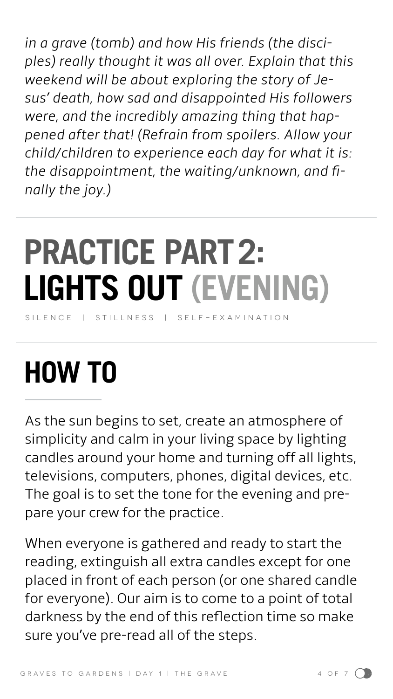## **HOW TO**

SILENCE | STILLNESS | SELF-EXAMINATION

# **PRACTICE PART2: LIGHTS OUT (EVENING)**

As the sun begins to set, create an atmosphere of simplicity and calm in your living space by lighting candles around your home and turning off all lights, televisions, computers, phones, digital devices, etc. The goal is to set the tone for the evening and prepare your crew for the practice.

When everyone is gathered and ready to start the reading, extinguish all extra candles except for one placed in front of each person (or one shared candle for everyone). Our aim is to come to a point of total darkness by the end of this refection time so make sure you've pre-read all of the steps.



*in a grave (tomb) and how His friends (the disciples) really thought it was all over. Explain that this weekend will be about exploring the story of Jesus' death, how sad and disappointed His followers were, and the incredibly amazing thing that happened after that! (Refrain from spoilers. Allow your child/children to experience each day for what it is: the disappointment, the waiting/unknown, and fnally the joy.)*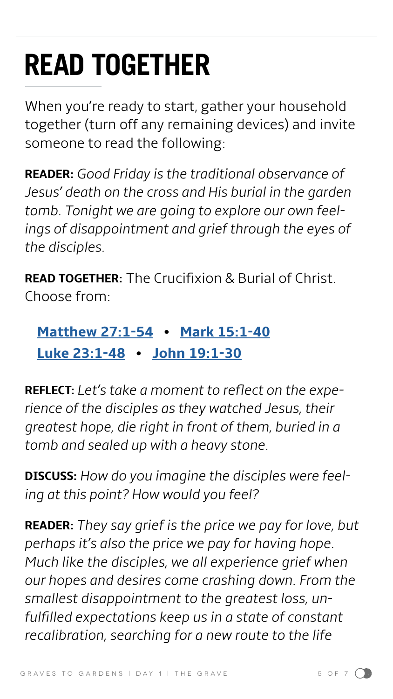# **READ TOGETHER**

When you're ready to start, gather your household together (turn off any remaining devices) and invite someone to read the following:

**READ TOGETHER:** The Crucifixion & Burial of Christ. Choose from:

**READER:** *Good Friday is the traditional observance of Jesus' death on the cross and His burial in the garden tomb. Tonight we are going to explore our own feelings of disappointment and grief through the eyes of the disciples.* 

#### **[Matthew 27:1-54](https://www.biblegateway.com/passage/?search=Matthew%2027:1-54&version=NIV) • [Mark 15:1-40](https://www.biblegateway.com/passage/?search=Mark+15%3A1-40&version=NIV) [Luke 23:1-48](https://www.biblegateway.com/passage/?search=Luke+23%3A1-48&version=NIV) • [John 19:1-30](https://www.biblegateway.com/passage/?search=John+19%3A1-30&version=NIV)**

**REFLECT:** *Let's take a moment to refect on the experience of the disciples as they watched Jesus, their greatest hope, die right in front of them, buried in a tomb and sealed up with a heavy stone.*

**DISCUSS:** *How do you imagine the disciples were feeling at this point? How would you feel?*

**READER:** *They say grief is the price we pay for love, but perhaps it's also the price we pay for having hope. Much like the disciples, we all experience grief when our hopes and desires come crashing down. From the smallest disappointment to the greatest loss, unfulflled expectations keep us in a state of constant recalibration, searching for a new route to the life* 

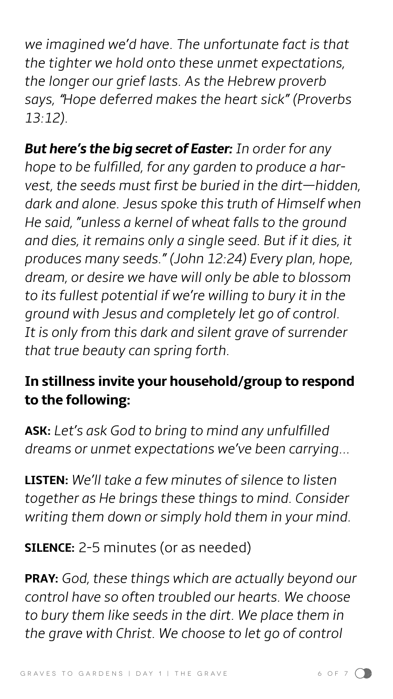*we imagined we'd have. The unfortunate fact is that the tighter we hold onto these unmet expectations, the longer our grief lasts. As the Hebrew proverb says, "Hope deferred makes the heart sick" (Proverbs 13:12).*

*But here's the big secret of Easter: In order for any hope to be fulflled, for any garden to produce a harvest, the seeds must frst be buried in the dirt—hidden, dark and alone. Jesus spoke this truth of Himself when He said, "unless a kernel of wheat falls to the ground and dies, it remains only a single seed. But if it dies, it produces many seeds." (John 12:24) Every plan, hope, dream, or desire we have will only be able to blossom to its fullest potential if we're willing to bury it in the ground with Jesus and completely let go of control. It is only from this dark and silent grave of surrender that true beauty can spring forth.*

#### **In stillness invite your household/group to respond to the following:**

**ASK:** *Let's ask God to bring to mind any unfulflled dreams or unmet expectations we've been carrying...*

**LISTEN:** *We'll take a few minutes of silence to listen together as He brings these things to mind. Consider writing them down or simply hold them in your mind.*

**SILENCE:** 2-5 minutes (or as needed)

**PRAY:** *God, these things which are actually beyond our control have so often troubled our hearts. We choose to bury them like seeds in the dirt. We place them in the grave with Christ. We choose to let go of control*